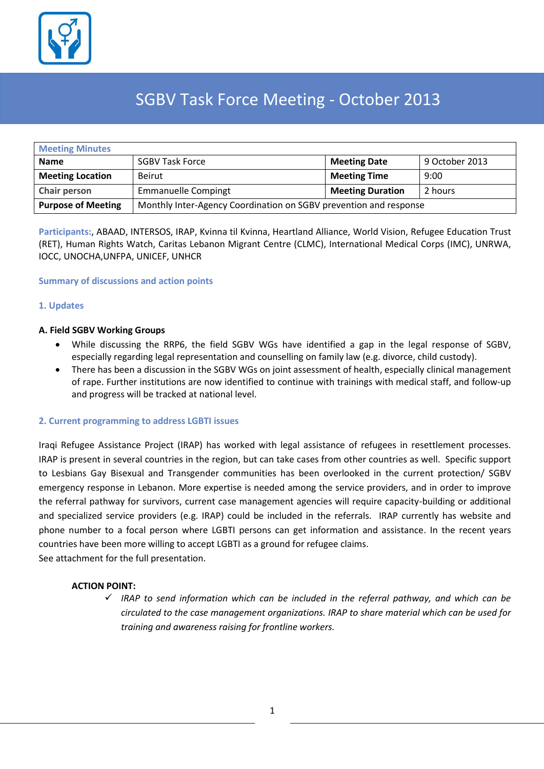

# SGBV Task Force Meeting - October 2013

| <b>Meeting Minutes</b>    |                                                                   |                         |                |  |  |
|---------------------------|-------------------------------------------------------------------|-------------------------|----------------|--|--|
| <b>Name</b>               | <b>SGBV Task Force</b>                                            | <b>Meeting Date</b>     | 9 October 2013 |  |  |
| <b>Meeting Location</b>   | <b>Beirut</b>                                                     | <b>Meeting Time</b>     | 9:00           |  |  |
| <b>Chair person</b>       | <b>Emmanuelle Compingt</b>                                        | <b>Meeting Duration</b> | 2 hours        |  |  |
| <b>Purpose of Meeting</b> | Monthly Inter-Agency Coordination on SGBV prevention and response |                         |                |  |  |

**Participants:**, ABAAD, INTERSOS, IRAP, Kvinna til Kvinna, Heartland Alliance, World Vision, Refugee Education Trust (RET), Human Rights Watch, Caritas Lebanon Migrant Centre (CLMC), International Medical Corps (IMC), UNRWA, IOCC, UNOCHA,UNFPA, UNICEF, UNHCR

#### **Summary of discussions and action points**

#### **1. Updates**

#### **A. Field SGBV Working Groups**

- While discussing the RRP6, the field SGBV WGs have identified a gap in the legal response of SGBV, especially regarding legal representation and counselling on family law (e.g. divorce, child custody).
- There has been a discussion in the SGBV WGs on joint assessment of health, especially clinical management of rape. Further institutions are now identified to continue with trainings with medical staff, and follow-up and progress will be tracked at national level.

#### **2. Current programming to address LGBTI issues**

Iraqi Refugee Assistance Project (IRAP) has worked with legal assistance of refugees in resettlement processes. IRAP is present in several countries in the region, but can take cases from other countries as well. Specific support to Lesbians Gay Bisexual and Transgender communities has been overlooked in the current protection/ SGBV emergency response in Lebanon. More expertise is needed among the service providers, and in order to improve the referral pathway for survivors, current case management agencies will require capacity-building or additional and specialized service providers (e.g. IRAP) could be included in the referrals. IRAP currently has website and phone number to a focal person where LGBTI persons can get information and assistance. In the recent years countries have been more willing to accept LGBTI as a ground for refugee claims. See attachment for the full presentation.

#### **ACTION POINT:**

 $\checkmark$  IRAP to send information which can be included in the referral pathway, and which can be *circulated to the case management organizations. IRAP to share material which can be used for training and awareness raising for frontline workers.*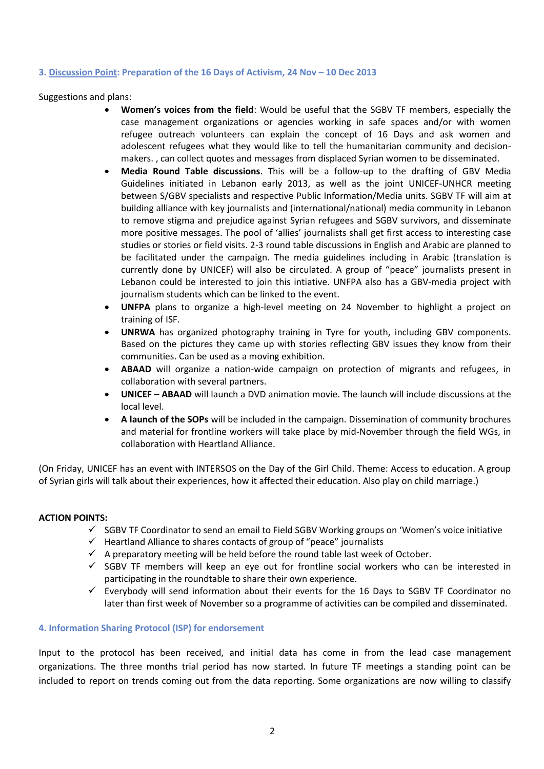#### **3. Discussion Point: Preparation of the 16 Days of Activism, 24 Nov – 10 Dec 2013**

Suggestions and plans:

- **Women's voices from the field**: Would be useful that the SGBV TF members, especially the case management organizations or agencies working in safe spaces and/or with women refugee outreach volunteers can explain the concept of 16 Days and ask women and adolescent refugees what they would like to tell the humanitarian community and decisionmakers. , can collect quotes and messages from displaced Syrian women to be disseminated.
- **Media Round Table discussions**. This will be a follow-up to the drafting of GBV Media Guidelines initiated in Lebanon early 2013, as well as the joint UNICEF-UNHCR meeting between S/GBV specialists and respective Public Information/Media units. SGBV TF will aim at building alliance with key journalists and (international/national) media community in Lebanon to remove stigma and prejudice against Syrian refugees and SGBV survivors, and disseminate more positive messages. The pool of 'allies' journalists shall get first access to interesting case studies or stories or field visits. 2-3 round table discussions in English and Arabic are planned to be facilitated under the campaign. The media guidelines including in Arabic (translation is currently done by UNICEF) will also be circulated. A group of "peace" journalists present in Lebanon could be interested to join this intiative. UNFPA also has a GBV-media project with journalism students which can be linked to the event.
- **UNFPA** plans to organize a high-level meeting on 24 November to highlight a project on training of ISF.
- **UNRWA** has organized photography training in Tyre for youth, including GBV components. Based on the pictures they came up with stories reflecting GBV issues they know from their communities. Can be used as a moving exhibition.
- **ABAAD** will organize a nation-wide campaign on protection of migrants and refugees, in collaboration with several partners.
- **UNICEF – ABAAD** will launch a DVD animation movie. The launch will include discussions at the local level.
- **A launch of the SOPs** will be included in the campaign. Dissemination of community brochures and material for frontline workers will take place by mid-November through the field WGs, in collaboration with Heartland Alliance.

(On Friday, UNICEF has an event with INTERSOS on the Day of the Girl Child. Theme: Access to education. A group of Syrian girls will talk about their experiences, how it affected their education. Also play on child marriage.)

#### **ACTION POINTS:**

- $\checkmark$  SGBV TF Coordinator to send an email to Field SGBV Working groups on 'Women's voice initiative
- $\checkmark$  Heartland Alliance to shares contacts of group of "peace" journalists
- $\checkmark$  A preparatory meeting will be held before the round table last week of October.
- $\checkmark$  SGBV TF members will keep an eve out for frontline social workers who can be interested in participating in the roundtable to share their own experience.
- $\checkmark$  Everybody will send information about their events for the 16 Days to SGBV TF Coordinator no later than first week of November so a programme of activities can be compiled and disseminated.

#### **4. Information Sharing Protocol (ISP) for endorsement**

Input to the protocol has been received, and initial data has come in from the lead case management organizations. The three months trial period has now started. In future TF meetings a standing point can be included to report on trends coming out from the data reporting. Some organizations are now willing to classify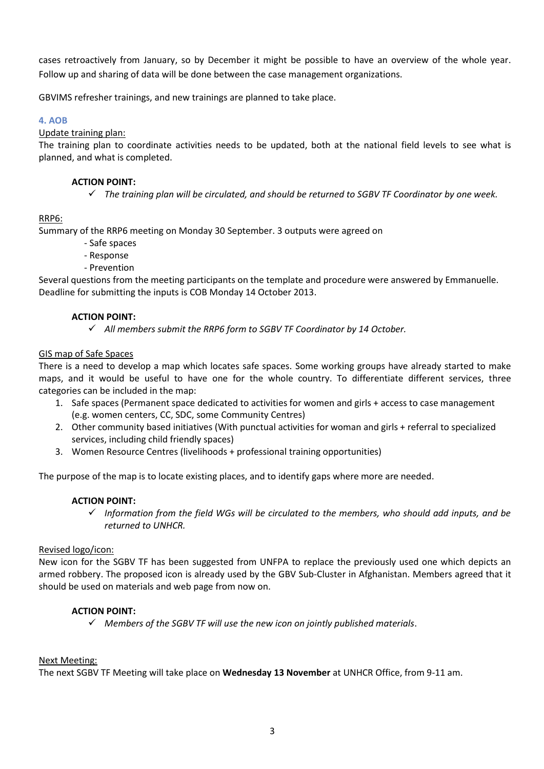cases retroactively from January, so by December it might be possible to have an overview of the whole year. Follow up and sharing of data will be done between the case management organizations.

GBVIMS refresher trainings, and new trainings are planned to take place.

# **4. AOB**

## Update training plan:

The training plan to coordinate activities needs to be updated, both at the national field levels to see what is planned, and what is completed.

# **ACTION POINT:**

*The training plan will be circulated, and should be returned to SGBV TF Coordinator by one week.*

# RRP6:

Summary of the RRP6 meeting on Monday 30 September. 3 outputs were agreed on

- Safe spaces
- Response
- Prevention

Several questions from the meeting participants on the template and procedure were answered by Emmanuelle. Deadline for submitting the inputs is COB Monday 14 October 2013.

## **ACTION POINT:**

*All members submit the RRP6 form to SGBV TF Coordinator by 14 October.*

## GIS map of Safe Spaces

There is a need to develop a map which locates safe spaces. Some working groups have already started to make maps, and it would be useful to have one for the whole country. To differentiate different services, three categories can be included in the map:

- 1. Safe spaces (Permanent space dedicated to activities for women and girls + access to case management (e.g. women centers, CC, SDC, some Community Centres)
- 2. Other community based initiatives (With punctual activities for woman and girls + referral to specialized services, including child friendly spaces)
- 3. Women Resource Centres (livelihoods + professional training opportunities)

The purpose of the map is to locate existing places, and to identify gaps where more are needed.

## **ACTION POINT:**

 $\checkmark$  Information from the field WGs will be circulated to the members, who should add inputs, and be *returned to UNHCR.* 

## Revised logo/icon:

New icon for the SGBV TF has been suggested from UNFPA to replace the previously used one which depicts an armed robbery. The proposed icon is already used by the GBV Sub-Cluster in Afghanistan. Members agreed that it should be used on materials and web page from now on.

## **ACTION POINT:**

*Members of the SGBV TF will use the new icon on jointly published materials*.

## Next Meeting:

The next SGBV TF Meeting will take place on **Wednesday 13 November** at UNHCR Office, from 9-11 am.